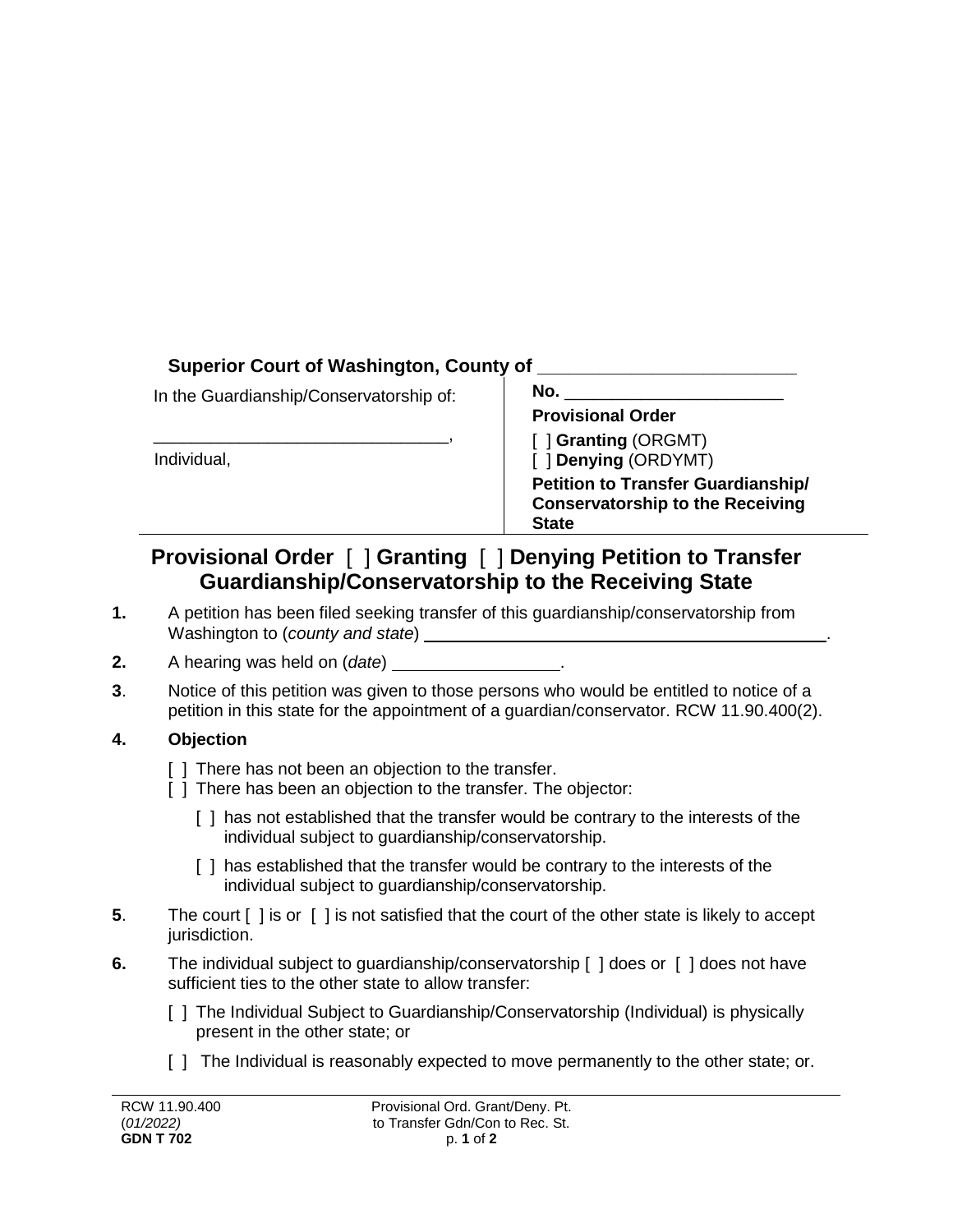## **Superior Court of Washington, County of \_\_\_\_\_\_\_\_\_\_\_\_\_\_\_\_\_\_\_\_\_\_\_\_\_**

In the Guardianship/Conservatorship of:

\_\_\_\_\_\_\_\_\_\_\_\_\_\_\_\_\_\_\_\_\_\_\_\_\_\_\_\_\_\_\_,

Individual,

| в<br>., |  |
|---------|--|
|         |  |

**Provisional Order**

[ ] **Granting** (ORGMT) [ ] **Denying** (ORDYMT)

**Petition to Transfer Guardianship/ Conservatorship to the Receiving State**

## **Provisional Order** [ ] **Granting** [ ] **Denying Petition to Transfer Guardianship/Conservatorship to the Receiving State**

- **1.** A petition has been filed seeking transfer of this guardianship/conservatorship from Washington to (*county and state*) .
- **2.** A hearing was held on (*date*) .
- **3**. Notice of this petition was given to those persons who would be entitled to notice of a petition in this state for the appointment of a guardian/conservator. RCW 11.90.400(2).

## **4. Objection**

- [ ] There has not been an objection to the transfer.
- [ ] There has been an objection to the transfer. The objector:
	- [ ] has not established that the transfer would be contrary to the interests of the individual subject to guardianship/conservatorship.
	- [] has established that the transfer would be contrary to the interests of the individual subject to guardianship/conservatorship.
- **5**. The court [ ] is or [ ] is not satisfied that the court of the other state is likely to accept jurisdiction.
- **6.** The individual subject to guardianship/conservatorship [ ] does or [ ] does not have sufficient ties to the other state to allow transfer:
	- [ ] The Individual Subject to Guardianship/Conservatorship (Individual) is physically present in the other state; or
	- [ ] The Individual is reasonably expected to move permanently to the other state; or.